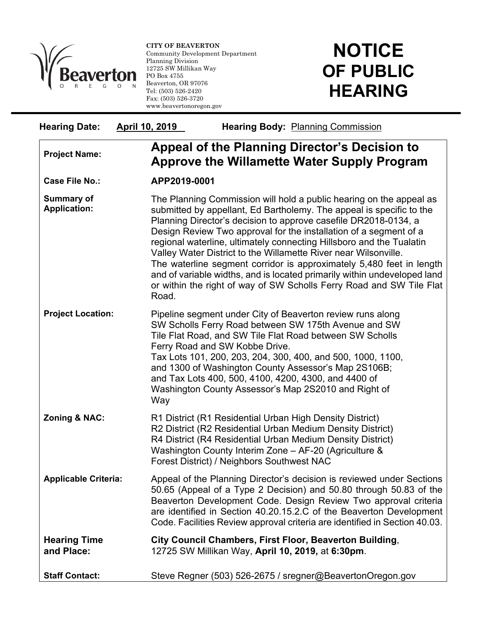

l

**CITY OF BEAVERTON**  Community Development Department Planning Division 12725 SW Millikan Way PO Box 4755 Beaverton, OR 97076 Tel: (503) 526-2420 Fax: (503) 526-3720 www.beavertonoregon.gov

## **NOTICE OF PUBLIC HEARING**

| <b>Hearing Date:</b>                     | April 10, 2019 | <b>Hearing Body: Planning Commission</b>                                                                                                                                                                                                                                                                                                                                                                                                                                                                                                                                                                                                                   |  |
|------------------------------------------|----------------|------------------------------------------------------------------------------------------------------------------------------------------------------------------------------------------------------------------------------------------------------------------------------------------------------------------------------------------------------------------------------------------------------------------------------------------------------------------------------------------------------------------------------------------------------------------------------------------------------------------------------------------------------------|--|
| <b>Project Name:</b>                     |                | Appeal of the Planning Director's Decision to<br><b>Approve the Willamette Water Supply Program</b>                                                                                                                                                                                                                                                                                                                                                                                                                                                                                                                                                        |  |
| Case File No.:                           | APP2019-0001   |                                                                                                                                                                                                                                                                                                                                                                                                                                                                                                                                                                                                                                                            |  |
| <b>Summary of</b><br><b>Application:</b> | Road.          | The Planning Commission will hold a public hearing on the appeal as<br>submitted by appellant, Ed Bartholemy. The appeal is specific to the<br>Planning Director's decision to approve casefile DR2018-0134, a<br>Design Review Two approval for the installation of a segment of a<br>regional waterline, ultimately connecting Hillsboro and the Tualatin<br>Valley Water District to the Willamette River near Wilsonville.<br>The waterline segment corridor is approximately 5,480 feet in length<br>and of variable widths, and is located primarily within undeveloped land<br>or within the right of way of SW Scholls Ferry Road and SW Tile Flat |  |
| <b>Project Location:</b>                 | Way            | Pipeline segment under City of Beaverton review runs along<br>SW Scholls Ferry Road between SW 175th Avenue and SW<br>Tile Flat Road, and SW Tile Flat Road between SW Scholls<br>Ferry Road and SW Kobbe Drive.<br>Tax Lots 101, 200, 203, 204, 300, 400, and 500, 1000, 1100,<br>and 1300 of Washington County Assessor's Map 2S106B;<br>and Tax Lots 400, 500, 4100, 4200, 4300, and 4400 of<br>Washington County Assessor's Map 2S2010 and Right of                                                                                                                                                                                                    |  |
| <b>Zoning &amp; NAC:</b>                 |                | R1 District (R1 Residential Urban High Density District)<br>R2 District (R2 Residential Urban Medium Density District)<br>R4 District (R4 Residential Urban Medium Density District)<br>Washington County Interim Zone - AF-20 (Agriculture &<br>Forest District) / Neighbors Southwest NAC                                                                                                                                                                                                                                                                                                                                                                |  |
| <b>Applicable Criteria:</b>              |                | Appeal of the Planning Director's decision is reviewed under Sections<br>50.65 (Appeal of a Type 2 Decision) and 50.80 through 50.83 of the<br>Beaverton Development Code. Design Review Two approval criteria<br>are identified in Section 40.20.15.2.C of the Beaverton Development<br>Code. Facilities Review approval criteria are identified in Section 40.03.                                                                                                                                                                                                                                                                                        |  |
| <b>Hearing Time</b><br>and Place:        |                | City Council Chambers, First Floor, Beaverton Building,<br>12725 SW Millikan Way, April 10, 2019, at 6:30pm.                                                                                                                                                                                                                                                                                                                                                                                                                                                                                                                                               |  |
| <b>Staff Contact:</b>                    |                | Steve Regner (503) 526-2675 / sregner@BeavertonOregon.gov                                                                                                                                                                                                                                                                                                                                                                                                                                                                                                                                                                                                  |  |